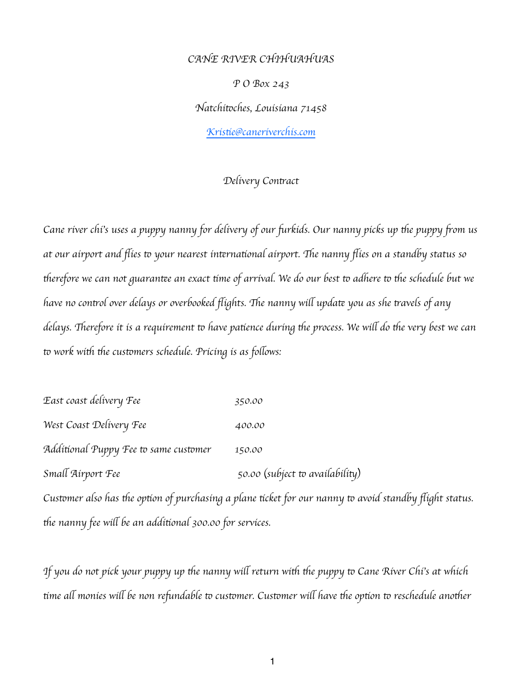*CANE RIVER CHIHUAHUAS P O Box 243 Natchi*t*ches, Louisiana 71458 Kris*t*e@caneriverchis.com*

## *Delivery Con*t*act*

*Cane river chi*'*s uses a puppy nanny for delivery of our* f*rkids. Our nanny picks up* t*e puppy* f*om us at our airport and* fl*ies* t *your nearest in*t*rna*t*onal airport.* T*e nanny* fl*ies on a standby status so*  therefore we can not guarantee an exact time of arrival. We do our best to adhere to the schedule but we *have no con*t*ol over delays or overbooked* fl*ights.* T*e nanny wi*l *upda*t *you as she* t*avels of any delays.* T*erefore it is a requirement* t *have pa*t*ence during* t*e process. We wi*l *do* t*e very best we can*  to work with the customers schedule. Pricing is as follows:

*East coast delivery Fee 350.00 West Coast Delivery Fee 400.00 Additional Puppy Fee to same customer* 150.00 *Small Airport Fee* 50.00 *(subject to availability)* 

*Cus*t*mer also has* t*e op*t*on of purchasing a plane* t*cket for our nanny* t *avoid standby* fl*ight status.*  t*e nanny fee wi*l *be an addi*t*onal 300.00 for services.*

*If you do not pick your puppy up the nanny will return with the puppy to Cane River Chi's at which* t*me a*l *monies wi*l *be non re*f*ndable* t *cus*t*mer. Cus*t*mer wi*l *have* t*e op*t*on* t *reschedule ano*t*er*